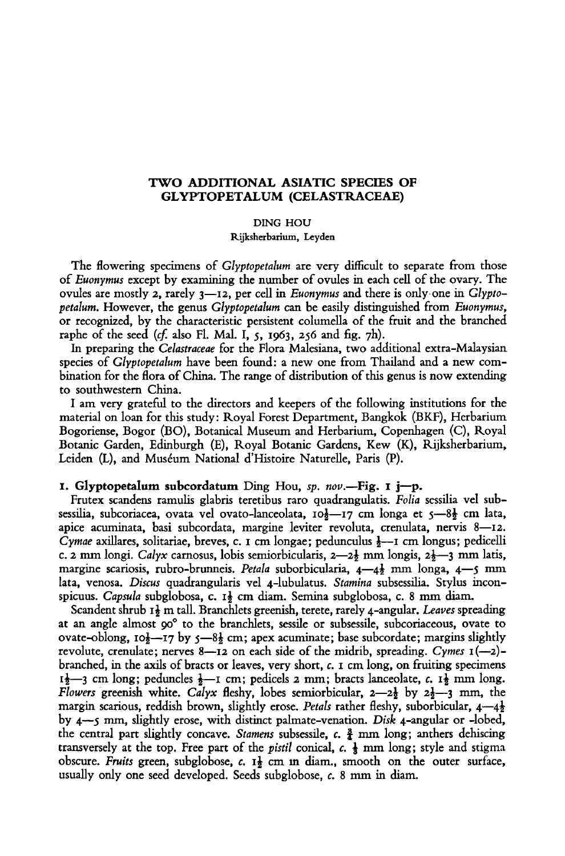## TWO ADDITIONAL ASIATIC SPECIES OF Glyptopetalum (Celastraceae)

Ding Hou

Rijksherbarium, Leyden

The flowering specimens of *Glyptopetalum* are very difficult to separate from those of Euonymus except by examining the number of ovules in each cell of the ovary. The ovules are mostly 2, rarely  $3$ —12, per cell in *Euonymus* and there is only one in *Glypto*petalum. However, the genus Glyptopetalum can be easily distinguished from Euonymus, or recognized, by the characteristic persistent columella of the fruit and the branched raphe of the seed  $(cf.$  also Fl. Mal. I, 5, 1963, 256 and fig. 7h).

In preparing the Celastraceae for the Flora Malesiana, two additional extra-Malaysian species of Glyptopetalum have been found: <sup>a</sup> new one from Thailand and <sup>a</sup> new combination for the flora ofChina. The range of distribution of this genus is now extending to southwestern China.

I am very grateful to the directors and keepers of the following institutions for the material on loan for this study: Royal Forest Department, Bangkok (BKF), Herbarium Bogoriense, Bogor (BO), Botanical Museum and Herbarium, Copenhagen (C), Royal Botanic Garden, Edinburgh (E), Royal Botanic Gardens, Kew (K), Rijksherbarium, Leiden (L), and Muséum National d'Histoire Naturelle, Paris (P).

## 1. Glyptopetalum subcordatum Ding Hou, sp. nov.-Fig. 1 j-p.

Frutex scandens ramulis glabris teretibus raro quadrangulatis. Folia sessilia vel subsessilia, subcoriacea, ovata vel ovato-lanceolata,  $10\frac{1}{2}$ -17 cm longa et 5-8 $\frac{1}{2}$  cm lata, apice acuminata, basi subcordata, margine leviter revoluta, crenulata, nervis 8—12. Cymae axillares, solitariae, breves, c. 1 cm longae; pedunculus  $\frac{1}{2}$ —1 cm longus; pedicelli c. 2 mm longi. Calyx carnosus, lobis semiorbicularis, 2—2 $\frac{1}{2}$  mm longis, 2 $\frac{1}{2}$ —3 mm latis, margine scariosis, rubro-brunneis. Petala suborbicularia,  $4-4\frac{1}{2}$  mm longa,  $4-5$  mm lata, venosa. Discus quadrangularis vel 4-lubulatus. Stamina subsessilia. Stylus inconspicuus. Capsula subglobosa, c. 1 $\frac{1}{2}$  cm diam. Semina subglobosa, c. 8 mm diam.

Scandent shrub  $I_2^{\dagger}$  m tall. Branchlets greenish, terete, rarely 4-angular. Leaves spreading at an angle almost 90° to the branchlets, sessile or subsessile, subcoriaceous, ovate to ovate-oblong,  $10\frac{1}{2}$ -17 by  $5-8\frac{1}{2}$  cm; apex acuminate; base subcordate; margins slightly revolute, crenulate; nerves  $8-12$  on each side of the midrib, spreading. Cymes  $1(-2)$ branched, in the axils of bracts or leaves, very short, c. <sup>1</sup> cm long, on fruiting specimens  $1\frac{1}{2}$ —3 cm long; peduncles  $\frac{1}{2}$ —1 cm; pedicels 2 mm; bracts lanceolate, c.  $1\frac{1}{2}$  mm long. Flowers greenish white. Calyx fleshy, lobes semiorbicular,  $2-2\frac{1}{2}$  by  $2\frac{1}{2}-3$  mm, the margin scarious, reddish brown, slightly erose. Petals rather fleshy, suborbicular,  $4-4\frac{1}{2}$ by 4—5 mm, slightly erose, with distinct palmate-venation. Disk 4-angular or -lobed, the central part slightly concave. *Stamens* subsessile,  $c$ .  $\frac{3}{2}$  mm long; anthers dehiscing transversely at the top. Free part of the *pistil* conical,  $c$ .  $\frac{1}{2}$  mm long; style and stigma obscure. Fruits green, subglobose,  $c$ .  $I_{\frac{1}{2}}$  cm in diam., smooth on the outer surface, usually only one seed developed. Seeds subglobose, c. <sup>8</sup> mm in diam.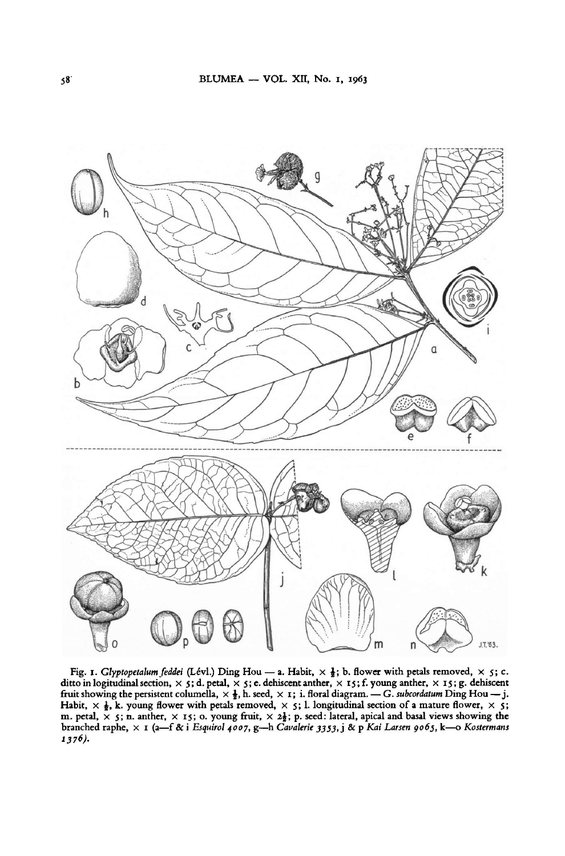

1376). Esquirol 4007, g-h Cavalerie 3353, j & p Kai Larsen 9065, k-o Kostermans  $\overline{\text{Ding}}$  Hou — j. Habit,  $\times$   $\frac{1}{2}$ , k. young flower with petals removed,  $\times$  5; 1. longitudinal section of a mature flower,  $\times$  5; m. petal,  $\times$  5; n. anther,  $\times$  15; o. young fruit,  $\times$  2 $\frac{1}{2}$ ; p. seed: lateral, apical and basal views showing the branched raphe,  $\times$  1 (a–f & i Esquirol 4007, g–h Cavalerie 3353, j & p Kai Larsen 9065, k–0 Kos G. subcordatum Fig. 1. Glyptopetalum feddei (Lévl.) Ding Hou — a. Habit,  $\times$   $\frac{1}{2}$ ; b. flower with petals removed,  $\times$  5; c. ditto in logitudinal section,  $\times$  5; d. petal,  $\times$  5; e. dehiscent anther,  $\times$  15; f. young anther,  $\times$  15; g. dehiscent columella,  $\times$   $\frac{1}{2}$ , h. seed,  $\times$  1; i. floral diagram. — G. subcordatum Ding Hou — j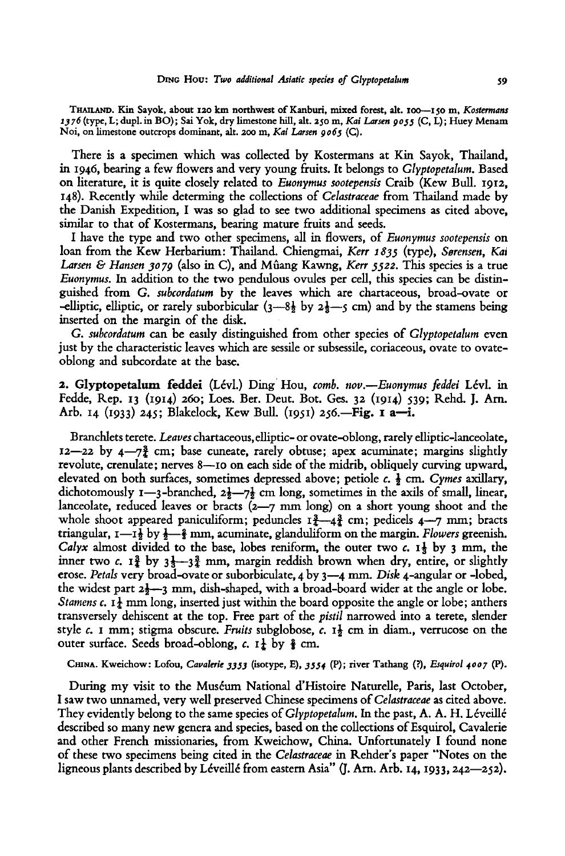THAILAND. Kin Sayok, about 120 km northwest of Kanburi, mixed forest, alt. 100-150 m, Kostermans 1376 (type, L; dupl. in BO); Sai Yok, dry limestone hill, alt. 250 m, Kai Larsen 9055 (C, L); Huey Menam Not, on limestone outcrops dominant, alt. 200 m, Kai Larsen 9063 (C).

There is a specimen which was collected by Kostermans at Kin Sayok, Thailand, in 1946, bearing <sup>a</sup> few flowers and very young fruits. It belongs to Glyptopetalum. Based on literature, it is quite closely related to Euonymus sootepensis Craib (Kew Bull. 1912, 148). Recently while determing the collections of Celastraceae from Thailand made by the Danish Expedition, I was so glad to see two additional specimens as cited above, similar to that of Kostermans, bearing mature fruits and seeds.

I have the type and two other specimens, all in flowers, of Euonymus sootepensis on loan from the Kew Herbarium: Thailand. Chiengmai, Kerr 1835 (type), Sørensen, Ka Larsen & Hansen 3079 (also in C), and Mûang Kawng, Kerr 5522. This species is a true Euonymus. In addition to the two pendulous ovules per cell, this species can be distinguished from G. subcordatum by the leaves which are chartaceous, broad-ovate or -elliptic, elliptic, or rarely suborbicular  $(3-8\frac{1}{2}$  by  $2\frac{1}{3}$  cm) and by the stamens being inserted on the margin of the disk.

G. subcordatum can be easily distinguished from other species of Glyptopetalum even just by the characteristic leaves which are sessile or subsessile, coriaceous, ovate to ovateoblong and subcordate at the base.

2. Glyptopetalum feddei (Levi.) Ding Hou, comb. nov.—Euonymus feddei Levi, in Fedde, Rep. <sup>13</sup> (1914) 260; Loes. Ber. Deut. Bot. Ges. <sup>32</sup> (1914) 539; Rehd. J. Am. Arb. 14 (1933) 245; Blakelock, Kew Bull. (1951) 256.—Fig. I a—i.

Branchlets terete. Leaves chartaceous, elliptic- or ovate-oblong, rarely elliptic-lanceolate,  $12$ —22 by  $4$ —7 $\frac{3}{2}$  cm; base cuneate, rarely obtuse; apex acuminate; margins slightly revolute, crenulate; nerves 8—10 on each side of the midrib, obliquely curving upward, elevated on both surfaces, sometimes depressed above; petiole  $c, \frac{1}{2}$  cm. Cymes axillary, dichotomously 1—3-branched,  $2\frac{1}{2}$ — $7\frac{1}{2}$  cm long, sometimes in the axils of small, linear, lanceolate, reduced leaves or bracts (2—7 mm long) on <sup>a</sup> short young shoot and the whole shoot appeared paniculiform; peduncles  $I_{4}^{3}-4_{4}^{3}$  cm; pedicels  $4-7$  mm; bracts triangular,  $I = I_{\frac{1}{2}}$  by  $\frac{1}{2} - \frac{2}{3}$  mm, acuminate, glanduliform on the margin. Flowers greenish. Calyx almost divided to the base, lobes reniform, the outer two c.  $\mathbf{1}$  by 3 mm, the inner two c.  $I_4^3$  by  $3\frac{1}{3}-3\frac{3}{4}$  mm, margin reddish brown when dry, entire, or slightly erose. Petals very broad-ovate or suborbiculate, 4 by 3—4 mm. Disk 4-angular or -lobed, the widest part  $2\frac{1}{2}$ —3 mm, dish-shaped, with a broad-board wider at the angle or lobe. *Stamens c.* 1<sup> $\pm$ </sup> mm long, inserted just within the board opposite the angle or lobe; anthers transversely dehiscent at the top. Free part of the pistil narrowed into <sup>a</sup> terete, slender style c. 1 mm; stigma obscure. Fruits subglobose, c.  $I_{\frac{1}{2}}$  cm in diam., verrucose on the outer surface. Seeds broad-oblong, c.  $1\frac{1}{k}$  by  $\frac{2}{k}$  cm.

CHINA. Kweichow: Lofou, Cavalerie 3333 (isotype, E), 3334 (P); river Tathang (?), Esquirol 4007 (P).

During my visit to the Muséum National d'Histoire Naturelle, Paris, last October, I saw two unnamed, very well preserved Chinese specimens of Celastraceae as cited above. They evidently belong to the same species of *Glyptopetalum*. In the past, A. A. H. Léveillé described so many new genera and species, based on the collections of Esquirol, Cavalerie and other French missionaries, from Kweichow, China. Unfortunately <sup>I</sup> found none of these two specimens being cited in the Celastraceae in Rehder's paper "Notes on the ligneous plants described by Léveillé from eastern Asia" (J. Arn. Arb. 14, 1933, 242—252).